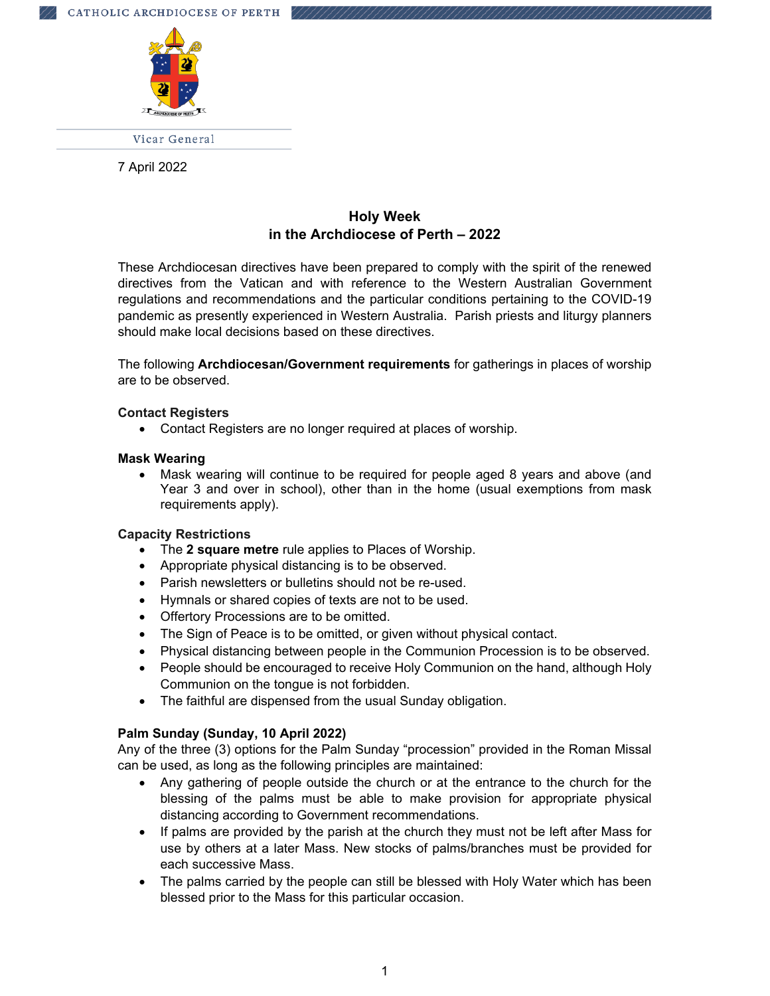

Vicar General

7 April 2022

# **Holy Week in the Archdiocese of Perth – 2022**

These Archdiocesan directives have been prepared to comply with the spirit of the renewed directives from the Vatican and with reference to the Western Australian Government regulations and recommendations and the particular conditions pertaining to the COVID-19 pandemic as presently experienced in Western Australia. Parish priests and liturgy planners should make local decisions based on these directives.

The following **Archdiocesan/Government requirements** for gatherings in places of worship are to be observed.

## **Contact Registers**

Contact Registers are no longer required at places of worship.

#### **Mask Wearing**

 Mask wearing will continue to be required for people aged 8 years and above (and Year 3 and over in school), other than in the home (usual exemptions from mask requirements apply).

## **Capacity Restrictions**

- The **2 square metre** rule applies to Places of Worship.
- Appropriate physical distancing is to be observed.
- Parish newsletters or bulletins should not be re-used.
- Hymnals or shared copies of texts are not to be used.
- Offertory Processions are to be omitted.
- The Sign of Peace is to be omitted, or given without physical contact.
- Physical distancing between people in the Communion Procession is to be observed.
- People should be encouraged to receive Holy Communion on the hand, although Holy Communion on the tongue is not forbidden.
- The faithful are dispensed from the usual Sunday obligation.

## **Palm Sunday (Sunday, 10 April 2022)**

Any of the three (3) options for the Palm Sunday "procession" provided in the Roman Missal can be used, as long as the following principles are maintained:

- Any gathering of people outside the church or at the entrance to the church for the blessing of the palms must be able to make provision for appropriate physical distancing according to Government recommendations.
- If palms are provided by the parish at the church they must not be left after Mass for use by others at a later Mass. New stocks of palms/branches must be provided for each successive Mass.
- The palms carried by the people can still be blessed with Holy Water which has been blessed prior to the Mass for this particular occasion.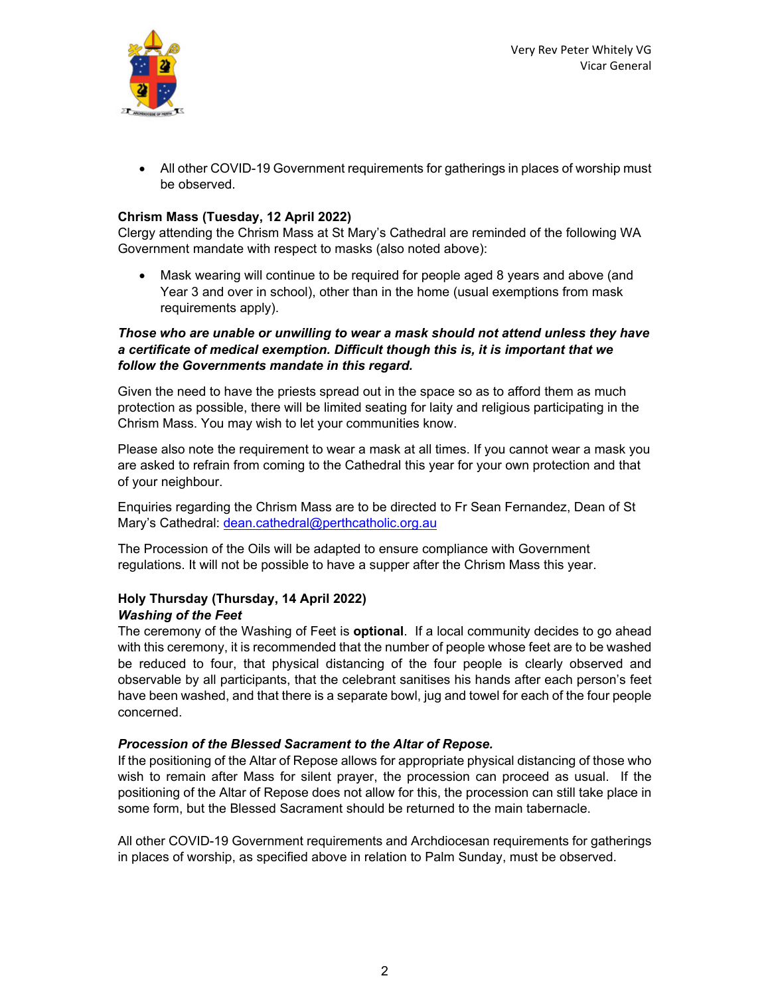

 All other COVID-19 Government requirements for gatherings in places of worship must be observed.

## **Chrism Mass (Tuesday, 12 April 2022)**

Clergy attending the Chrism Mass at St Mary's Cathedral are reminded of the following WA Government mandate with respect to masks (also noted above):

 Mask wearing will continue to be required for people aged 8 years and above (and Year 3 and over in school), other than in the home (usual exemptions from mask requirements apply).

## *Those who are unable or unwilling to wear a mask should not attend unless they have a certificate of medical exemption. Difficult though this is, it is important that we follow the Governments mandate in this regard.*

Given the need to have the priests spread out in the space so as to afford them as much protection as possible, there will be limited seating for laity and religious participating in the Chrism Mass. You may wish to let your communities know.

Please also note the requirement to wear a mask at all times. If you cannot wear a mask you are asked to refrain from coming to the Cathedral this year for your own protection and that of your neighbour.

Enquiries regarding the Chrism Mass are to be directed to Fr Sean Fernandez, Dean of St Mary's Cathedral: dean.cathedral@perthcatholic.org.au

The Procession of the Oils will be adapted to ensure compliance with Government regulations. It will not be possible to have a supper after the Chrism Mass this year.

## **Holy Thursday (Thursday, 14 April 2022)**  *Washing of the Feet*

The ceremony of the Washing of Feet is **optional**. If a local community decides to go ahead with this ceremony, it is recommended that the number of people whose feet are to be washed be reduced to four, that physical distancing of the four people is clearly observed and observable by all participants, that the celebrant sanitises his hands after each person's feet have been washed, and that there is a separate bowl, jug and towel for each of the four people concerned.

## *Procession of the Blessed Sacrament to the Altar of Repose.*

If the positioning of the Altar of Repose allows for appropriate physical distancing of those who wish to remain after Mass for silent prayer, the procession can proceed as usual. If the positioning of the Altar of Repose does not allow for this, the procession can still take place in some form, but the Blessed Sacrament should be returned to the main tabernacle.

All other COVID-19 Government requirements and Archdiocesan requirements for gatherings in places of worship, as specified above in relation to Palm Sunday, must be observed.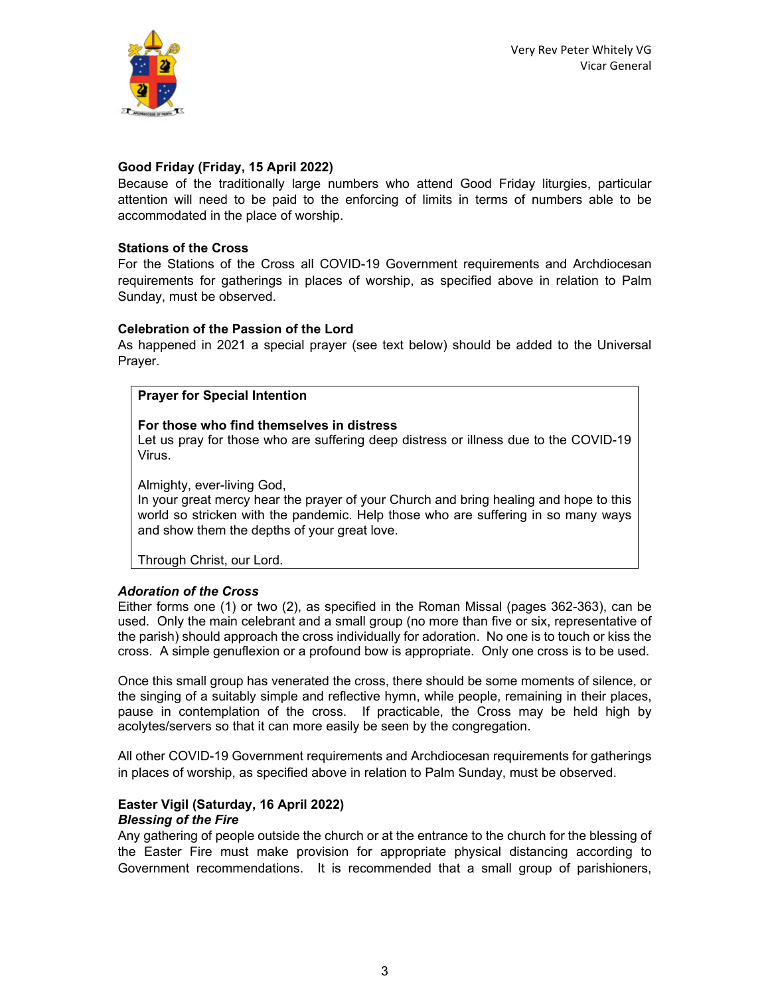

## **Good Friday (Friday, 15 April 2022)**

Because of the traditionally large numbers who attend Good Friday liturgies, particular attention will need to be paid to the enforcing of limits in terms of numbers able to be accommodated in the place of worship.

### **Stations of the Cross**

For the Stations of the Cross all COVID-19 Government requirements and Archdiocesan requirements for gatherings in places of worship, as specified above in relation to Palm Sunday, must be observed.

### **Celebration of the Passion of the Lord**

As happened in 2021 a special prayer (see text below) should be added to the Universal Prayer.

### **Prayer for Special Intention**

#### **For those who find themselves in distress**

Let us pray for those who are suffering deep distress or illness due to the COVID-19 Virus.

Almighty, ever-living God,

In your great mercy hear the prayer of your Church and bring healing and hope to this world so stricken with the pandemic. Help those who are suffering in so many ways and show them the depths of your great love.

Through Christ, our Lord.

## *Adoration of the Cross*

Either forms one (1) or two (2), as specified in the Roman Missal (pages 362-363), can be used. Only the main celebrant and a small group (no more than five or six, representative of the parish) should approach the cross individually for adoration. No one is to touch or kiss the cross. A simple genuflexion or a profound bow is appropriate. Only one cross is to be used.

Once this small group has venerated the cross, there should be some moments of silence, or the singing of a suitably simple and reflective hymn, while people, remaining in their places, pause in contemplation of the cross. If practicable, the Cross may be held high by acolytes/servers so that it can more easily be seen by the congregation.

All other COVID-19 Government requirements and Archdiocesan requirements for gatherings in places of worship, as specified above in relation to Palm Sunday, must be observed.

### **Easter Vigil (Saturday, 16 April 2022)**  *Blessing of the Fire*

Any gathering of people outside the church or at the entrance to the church for the blessing of the Easter Fire must make provision for appropriate physical distancing according to Government recommendations. It is recommended that a small group of parishioners,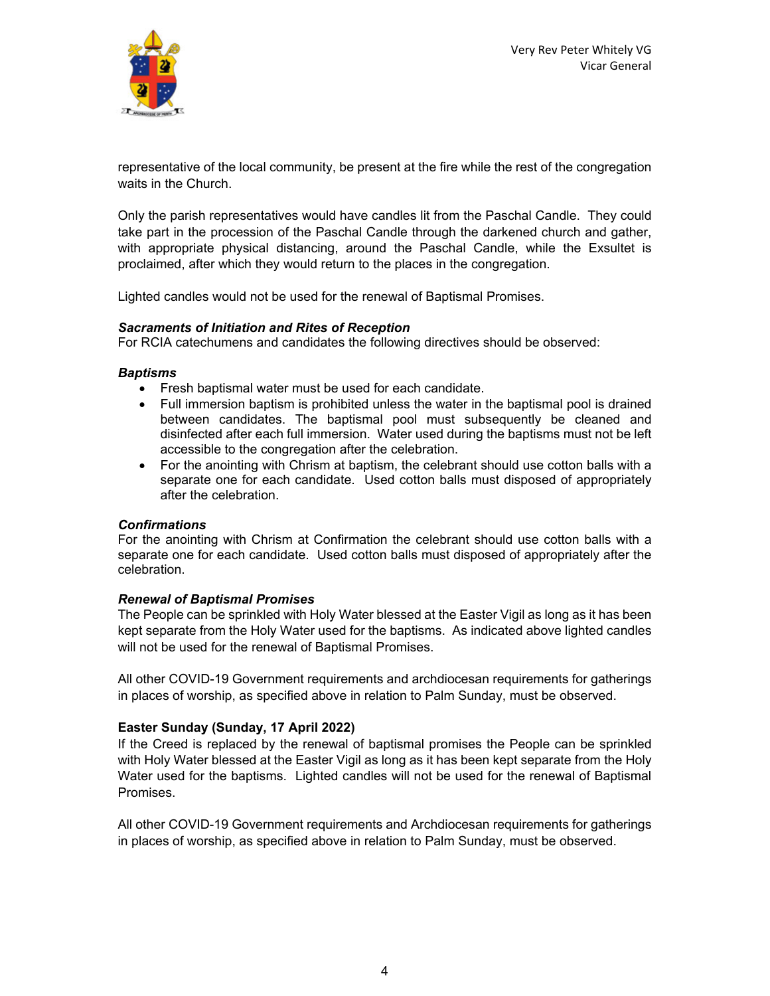

representative of the local community, be present at the fire while the rest of the congregation waits in the Church.

Only the parish representatives would have candles lit from the Paschal Candle. They could take part in the procession of the Paschal Candle through the darkened church and gather, with appropriate physical distancing, around the Paschal Candle, while the Exsultet is proclaimed, after which they would return to the places in the congregation.

Lighted candles would not be used for the renewal of Baptismal Promises.

### *Sacraments of Initiation and Rites of Reception*

For RCIA catechumens and candidates the following directives should be observed:

#### *Baptisms*

- Fresh baptismal water must be used for each candidate.
- Full immersion baptism is prohibited unless the water in the baptismal pool is drained between candidates. The baptismal pool must subsequently be cleaned and disinfected after each full immersion. Water used during the baptisms must not be left accessible to the congregation after the celebration.
- For the anointing with Chrism at baptism, the celebrant should use cotton balls with a separate one for each candidate. Used cotton balls must disposed of appropriately after the celebration.

#### *Confirmations*

For the anointing with Chrism at Confirmation the celebrant should use cotton balls with a separate one for each candidate. Used cotton balls must disposed of appropriately after the celebration.

#### *Renewal of Baptismal Promises*

The People can be sprinkled with Holy Water blessed at the Easter Vigil as long as it has been kept separate from the Holy Water used for the baptisms. As indicated above lighted candles will not be used for the renewal of Baptismal Promises.

All other COVID-19 Government requirements and archdiocesan requirements for gatherings in places of worship, as specified above in relation to Palm Sunday, must be observed.

## **Easter Sunday (Sunday, 17 April 2022)**

If the Creed is replaced by the renewal of baptismal promises the People can be sprinkled with Holy Water blessed at the Easter Vigil as long as it has been kept separate from the Holy Water used for the baptisms. Lighted candles will not be used for the renewal of Baptismal Promises.

All other COVID-19 Government requirements and Archdiocesan requirements for gatherings in places of worship, as specified above in relation to Palm Sunday, must be observed.